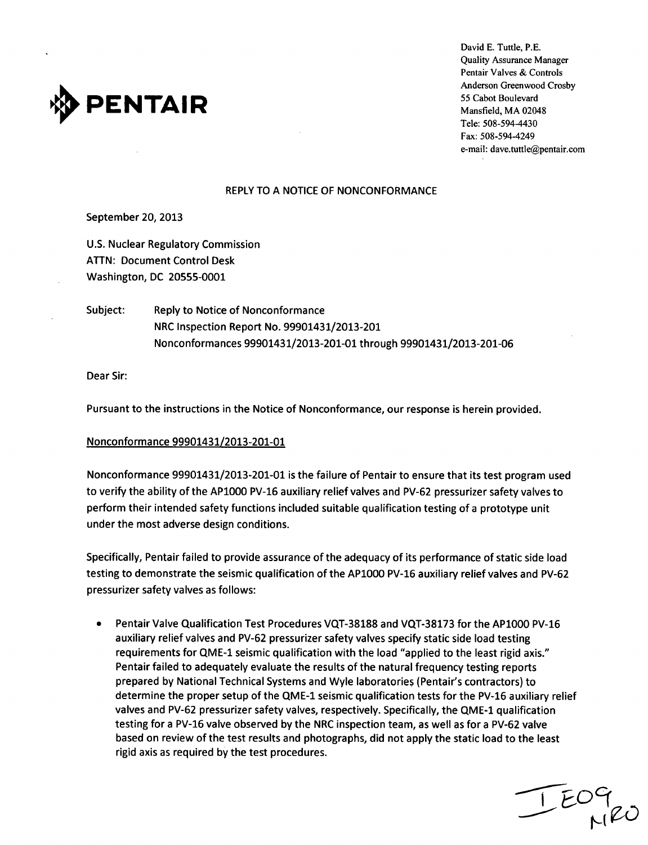

David E. Tuttle, P.E. Quality Assurance Manager Pentair Valves & Controls Anderson Greenwood Crosby Tele: 508-594-4430 Fax: 508-594-4249 e-mail: dave.tuttle@pentair.com

### REPLY TO A NOTICE OF NONCONFORMANCE

September 20, 2013

U.S. Nuclear Regulatory Commission ATTN: Document Control Desk Washington, DC 20555-0001

Subject: Reply to Notice of Nonconformance NRC Inspection Report No. 99901431/2013-201 Nonconformances 99901431/2013-201-01 through 99901431/2013-201-06

Dear Sir:

Pursuant to the instructions in the Notice of Nonconformance, our response is herein provided.

### Nonconformance 99901431/2013-201-01

Nonconformance 99901431/2013-201-01 is the failure of Pentair to ensure that its test program used to verify the ability of the APlO00 PV-16 auxiliary relief valves and PV-62 pressurizer safety valves to perform their intended safety functions included suitable qualification testing of a prototype unit under the most adverse design conditions.

Specifically, Pentair failed to provide assurance of the adequacy of its performance of static side load testing to demonstrate the seismic qualification of the AP1000 PV-16 auxiliary relief valves and PV-62 pressurizer safety valves as follows:

**<sup>0</sup>**Pentair Valve Qualification Test Procedures VQT-38188 and VQT-38173 for the APlO00 PV-16 auxiliary relief valves and PV-62 pressurizer safety valves specify static side load testing requirements for QME-1 seismic qualification with the load "applied to the least rigid axis." Pentair failed to adequately evaluate the results of the natural frequency testing reports prepared by National Technical Systems and Wyle laboratories (Pentair's contractors) to determine the proper setup of the QME-1 seismic qualification tests for the PV-16 auxiliary relief valves and PV-62 pressurizer safety valves, respectively. Specifically, the QME-1 qualification testing for a PV-16 valve observed by the NRC inspection team, as well as for a PV-62 valve based on review of the test results and photographs, did not apply the static load to the least rigid axis as required by the test procedures.

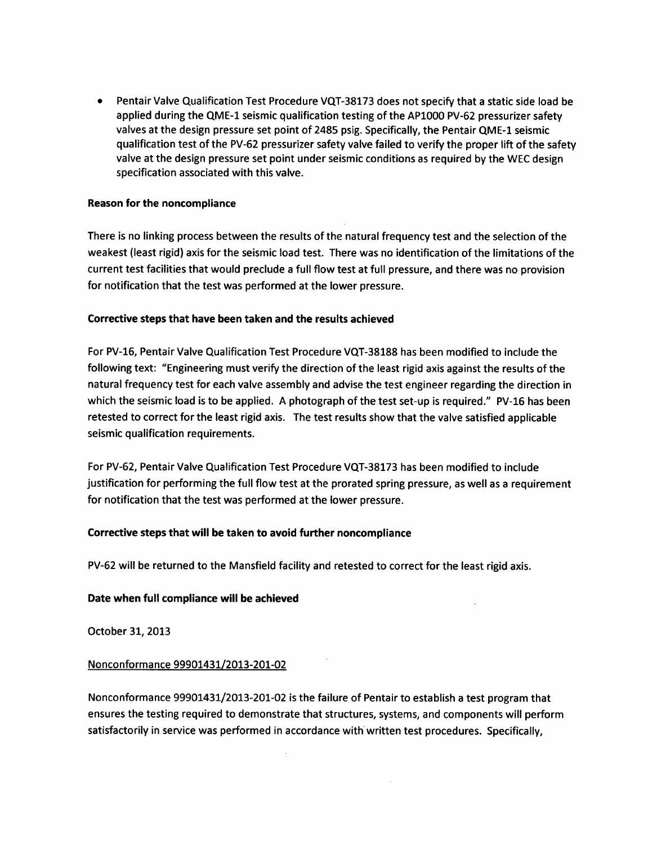Pentair Valve Qualification Test Procedure **VQT-38173** does not specify that a static side load be applied during the **QME-I** seismic qualification testing of the AP1000 PV-62 pressurizer safety valves at the design pressure set point of 2485 psig. Specifically, the Pentair **QME-I** seismic qualification test of the PV-62 pressurizer safety valve failed to verify the proper lift of the safety valve at the design pressure set point under seismic conditions as required **by** the WEC design specification associated with this valve.

# Reason for the noncompliance

There is no linking process between the results of the natural frequency test and the selection of the weakest (least rigid) axis for the seismic load test. There was no identification of the limitations of the current test facilities that would preclude a full flow test at full pressure, and there was no provision for notification that the test was performed at the lower pressure.

## Corrective steps that have been taken and the results achieved

For PV-16, Pentair Valve Qualification Test Procedure **VQT-38188** has been modified to include the following text: "Engineering must verify the direction of the least rigid axis against the results of the natural frequency test for each valve assembly and advise the test engineer regarding the direction in which the seismic load is to be applied. **A** photograph of the test set-up is required." PV-16 has been retested to correct for the least rigid axis. The test results show that the valve satisfied applicable seismic qualification requirements.

For PV-62, Pentair Valve Qualification Test Procedure **VQT-38173** has been modified to include justification for performing the full flow test at the prorated spring pressure, as well as a requirement for notification that the test was performed at the lower pressure.

# Corrective steps that will be taken to avoid further noncompliance

PV-62 will be returned to the Mansfield facility and retested to correct for the least rigid axis.

### Date when full compliance will be achieved

October **31, 2013**

### Nonconformance **99901431/2013-201-02**

Nonconformance **99901431/2013-201-02** is the failure of Pentair to establish a test program that ensures the testing required to demonstrate that structures, systems, and components will perform satisfactorily in service was performed in accordance with written test procedures. Specifically,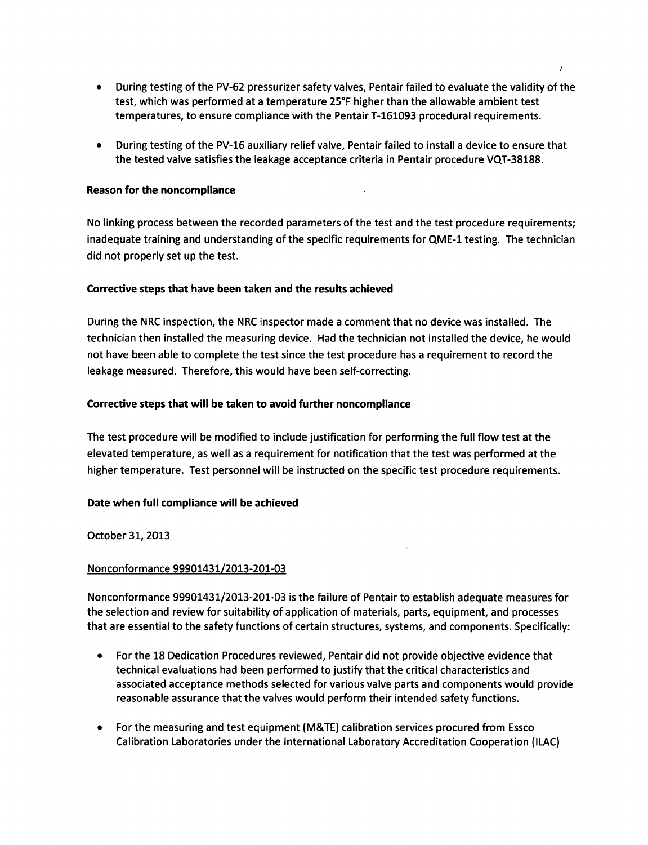- **"** During testing of the PV-62 pressurizer safety valves, Pentair failed to evaluate the validity of the test, which was performed at a temperature **25\*F** higher than the allowable ambient test temperatures, to ensure compliance with the Pentair **T-161093** procedural requirements.
- **"** During testing of the PV-16 auxiliary relief valve, Pentair failed to install a device to ensure that the tested valve satisfies the leakage acceptance criteria in Pentair procedure **VQT-38188.**

## Reason for the noncompliance

No linking process between the recorded parameters of the test and the test procedure requirements; inadequate training and understanding of the specific requirements for **QME-1** testing. The technician did not properly set up the test.

# Corrective steps that have been taken and the results achieved

During the NRC inspection, the NRC inspector made a comment that no device was installed. The technician then installed the measuring device. Had the technician not installed the device, he would not have been able to complete the test since the test procedure has a requirement to record the leakage measured. Therefore, this would have been self-correcting.

# Corrective steps that will be taken to avoid further noncompliance

The test procedure will be modified to include justification for performing the full flow test at the elevated temperature, as well as a requirement for notification that the test was performed at the higher temperature. Test personnel will be instructed on the specific test procedure requirements.

### Date when full compliance will be achieved

October **31, 2013**

### Nonconformance **99901431/2013-201-03**

Nonconformance **99901431/2013-201-03** is the failure of Pentair to establish adequate measures for the selection and review for suitability of application of materials, parts, equipment, and processes that are essential to the safety functions of certain structures, systems, and components. Specifically:

- **"** For the **18** Dedication Procedures reviewed, Pentair did not provide objective evidence that technical evaluations had been performed to justify that the critical characteristics and associated acceptance methods selected for various valve parts and components would provide reasonable assurance that the valves would perform their intended safety functions.
- **"** For the measuring and test equipment (M&TE) calibration services procured from Essco Calibration Laboratories under the International Laboratory Accreditation Cooperation **(ILAC)**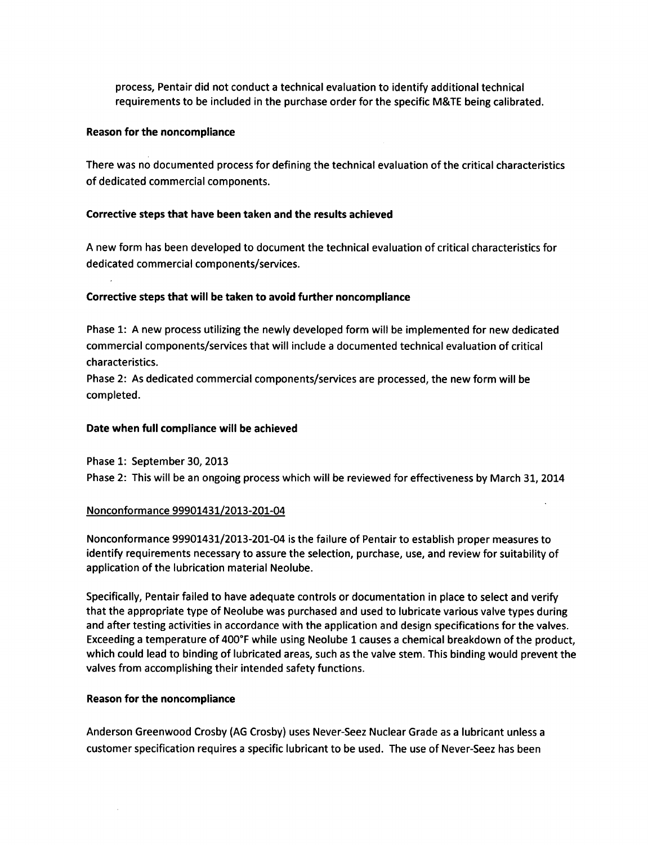process, Pentair did not conduct a technical evaluation to identify additional technical requirements to be included in the purchase order for the specific M&TE being calibrated.

## Reason for the noncompliance

There was no documented process for defining the technical evaluation of the critical characteristics of dedicated commercial components.

# Corrective steps that have been taken and the results achieved

A new form has been developed to document the technical evaluation of critical characteristics for dedicated commercial components/services.

## Corrective steps that will be taken to avoid further noncompliance

Phase 1: A new process utilizing the newly developed form will be implemented for new dedicated commercial components/services that will include a documented technical evaluation of critical characteristics.

Phase 2: As dedicated commercial components/services are processed, the new form will be completed.

## Date when full compliance will be achieved

Phase 1: September 30, 2013 Phase 2: This will be an ongoing process which will be reviewed for effectiveness by March 31, 2014

# Nonconformance 99901431/2013-201-04

Nonconformance 99901431/2013-201-04 is the failure of Pentair to establish proper measures to identify requirements necessary to assure the selection, purchase, use, and review for suitability of application of the lubrication material Neolube.

Specifically, Pentair failed to have adequate controls or documentation in place to select and verify that the appropriate type of Neolube was purchased and used to lubricate various valve types during and after testing activities in accordance with the application and design specifications for the valves. Exceeding a temperature of 400°F while using Neolube 1 causes a chemical breakdown of the product, which could lead to binding of lubricated areas, such as the valve stem. This binding would prevent the valves from accomplishing their intended safety functions.

# Reason for the noncompliance

Anderson Greenwood Crosby (AG Crosby) uses Never-Seez Nuclear Grade as a lubricant unless a customer specification requires a specific lubricant to be used. The use of Never-Seez has been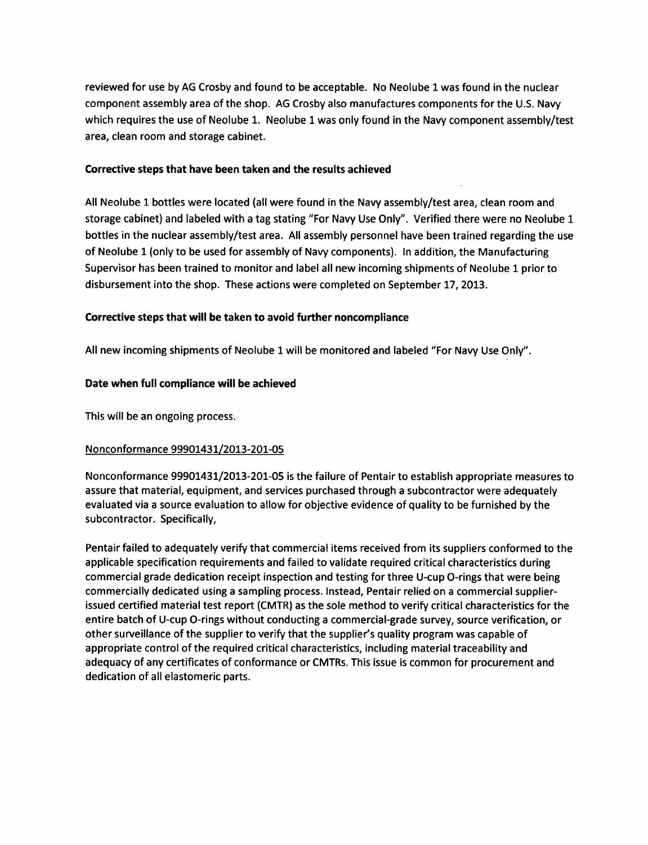reviewed for use by AG Crosby and found to be acceptable. No Neolube **I** was found in the nuclear component assembly area of the shop. AG Crosby also manufactures components for the U.S. Navy which requires the use of Neolube 1. Neolube 1 was only found in the Navy component assembly/test area, clean room and storage cabinet.

## Corrective steps that have been taken and the results achieved

All Neolube 1 bottles were located (all were found in the Navy assembly/test area, clean room and storage cabinet) and labeled with a tag stating "For Navy Use Only". Verified there were no Neolube 1 bottles in the nuclear assembly/test area. All assembly personnel have been trained regarding the use of Neolube 1 (only to be used for assembly of Navy components). In addition, the Manufacturing Supervisor has been trained to monitor and label all new incoming shipments of Neolube **1** prior to disbursement into the shop. These actions were completed on September 17, 2013.

# Corrective steps that will be taken to avoid further noncompliance

All new incoming shipments of Neolube **I** will be monitored and labeled "For Navy Use Only".

# Date when full compliance will be achieved

This will be an ongoing process.

# Nonconformance 99901431/2013-201-05

Nonconformance 99901431/2013-201-05 is the failure of Pentair to establish appropriate measures to assure that material, equipment, and services purchased through a subcontractor were adequately evaluated via a source evaluation to allow for objective evidence of quality to be furnished by the subcontractor. Specifically,

Pentair failed to adequately verify that commercial items received from its suppliers conformed to the applicable specification requirements and failed to validate required critical characteristics during commercial grade dedication receipt inspection and testing for three U-cup O-rings that were being commercially dedicated using a sampling process. Instead, Pentair relied on a commercial supplierissued certified material test report (CMTR) as the sole method to verify critical characteristics for the entire batch of U-cup O-rings without conducting a commercial-grade survey, source verification, or other surveillance of the supplier to verify that the supplier's quality program was capable of appropriate control of the required critical characteristics, including material traceability and adequacy of any certificates of conformance or CMTRs. This issue is common for procurement and dedication of all elastomeric parts.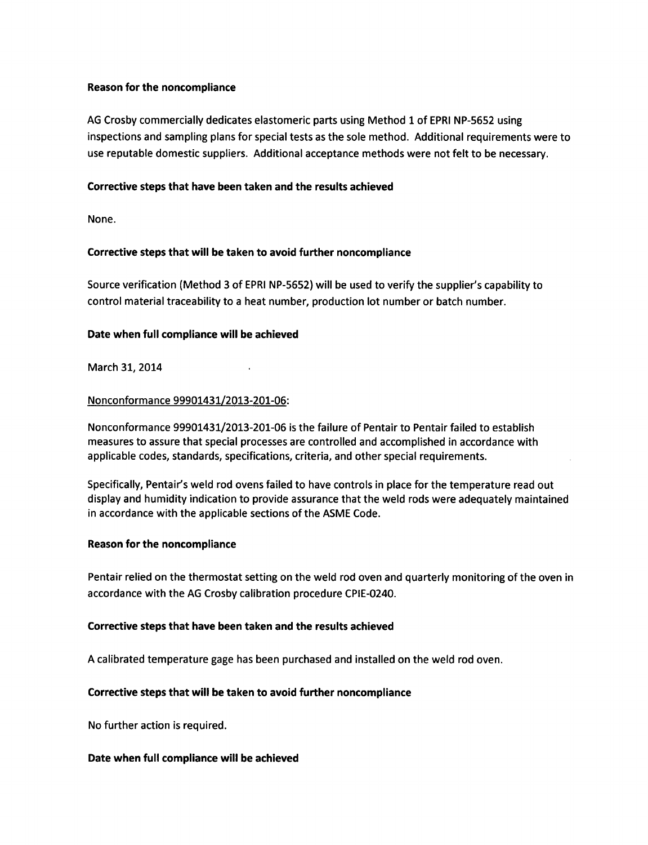# Reason for the noncompliance

AG Crosby commercially dedicates elastomeric parts using Method 1 of EPRI NP-5652 using inspections and sampling plans for special tests as the sole method. Additional requirements were to use reputable domestic suppliers. Additional acceptance methods were not felt to be necessary.

## Corrective steps that have been taken and the results achieved

None.

## Corrective steps that will be taken to avoid further noncompliance

Source verification (Method 3 of EPRI NP-5652) will be used to verify the supplier's capability to control material traceability to a heat number, production lot number or batch number.

## Date when full compliance will be achieved

March 31, 2014

## Nonconformance 99901431/2013-201-06:

Nonconformance 99901431/2013-201-06 is the failure of Pentair to Pentair failed to establish measures to assure that special processes are controlled and accomplished in accordance with applicable codes, standards, specifications, criteria, and other special requirements.

Specifically, Pentair's weld rod ovens failed to have controls in place for the temperature read out display and humidity indication to provide assurance that the weld rods were adequately maintained in accordance with the applicable sections of the ASME Code.

### Reason for the noncompliance

Pentair relied on the thermostat setting on the weld rod oven and quarterly monitoring of the oven in accordance with the AG Crosby calibration procedure CPIE-0240.

### Corrective steps that have been taken and the results achieved

A calibrated temperature gage has been purchased and installed on the weld rod oven.

### Corrective steps that will be taken to avoid further noncompliance

No further action is required.

### Date when full compliance will be achieved